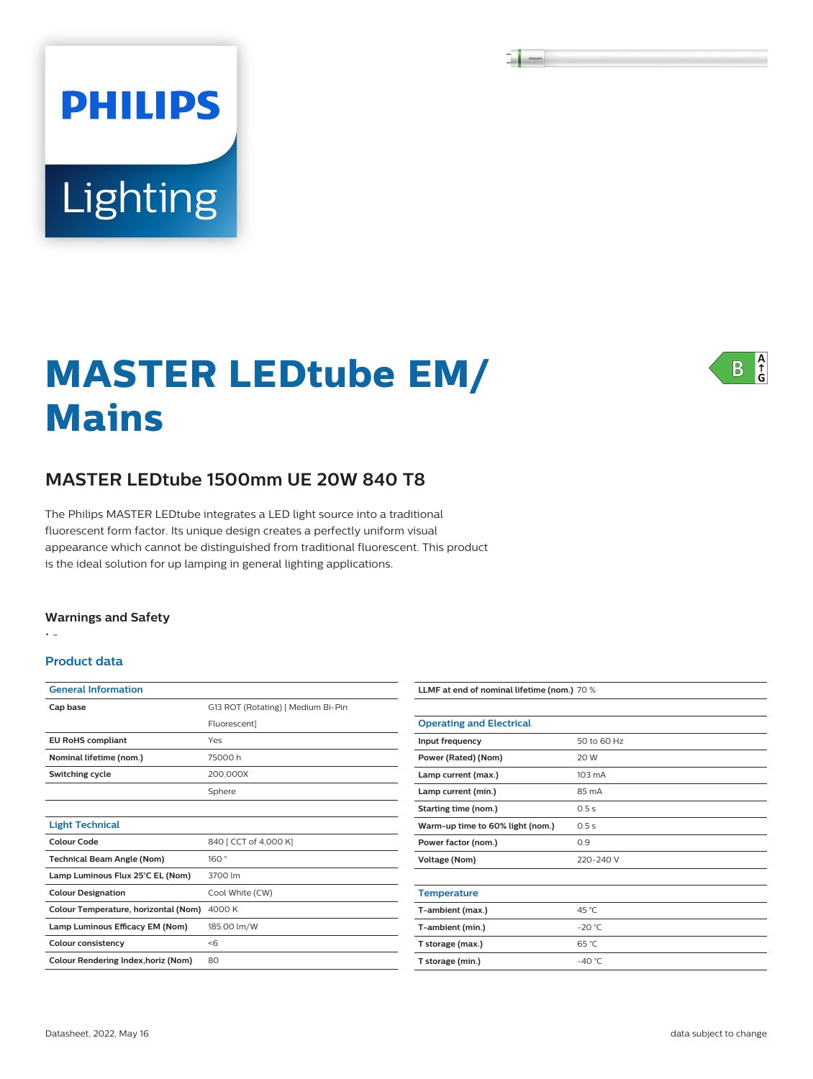# **PHILIPS** Lighting

## **MASTER LEDtube EM/ Mains**



#### **MASTER LEDtube 1500mm UE 20W 840 T8**

The Philips MASTER LEDtube integrates a LED light source into a traditional fluorescent form factor. Its unique design creates a perfectly uniform visual appearance which cannot be distinguished from traditional fluorescent. This product is the ideal solution for up lamping in general lighting applications.

#### **Warnings and Safety**

• -

#### **Product data**

| <b>General Information</b>           |                                    |  |  |  |  |
|--------------------------------------|------------------------------------|--|--|--|--|
| Cap base                             | G13 ROT (Rotating)   Medium Bi-Pin |  |  |  |  |
|                                      | Fluorescent]                       |  |  |  |  |
| <b>EU RoHS compliant</b>             | Yes                                |  |  |  |  |
| Nominal lifetime (nom.)              | 75000 h                            |  |  |  |  |
| Switching cycle                      | 200,000X                           |  |  |  |  |
|                                      | Sphere                             |  |  |  |  |
|                                      |                                    |  |  |  |  |
| <b>Light Technical</b>               |                                    |  |  |  |  |
| Colour Code                          | 840 [ CCT of 4,000 K]              |  |  |  |  |
| <b>Technical Beam Angle (Nom)</b>    | 160°                               |  |  |  |  |
| Lamp Luminous Flux 25°C EL (Nom)     | 3700 lm                            |  |  |  |  |
| <b>Colour Designation</b>            | Cool White (CW)                    |  |  |  |  |
| Colour Temperature, horizontal (Nom) | 4000 K                             |  |  |  |  |
| Lamp Luminous Efficacy EM (Nom)      | 185.00 lm/W                        |  |  |  |  |
| <b>Colour consistency</b>            | $<$ 6                              |  |  |  |  |
| Colour Rendering Index, horiz (Nom)  | 80                                 |  |  |  |  |

| LLMF at end of nominal lifetime (nom.) 70 % |                  |  |  |  |
|---------------------------------------------|------------------|--|--|--|
|                                             |                  |  |  |  |
| <b>Operating and Electrical</b>             |                  |  |  |  |
| Input frequency                             | 50 to 60 Hz      |  |  |  |
| Power (Rated) (Nom)                         | 20 W             |  |  |  |
| Lamp current (max.)                         | $103 \text{ mA}$ |  |  |  |
| Lamp current (min.)                         | 85 mA            |  |  |  |
| Starting time (nom.)                        | 0.5s             |  |  |  |
| Warm-up time to 60% light (nom.)            | 0.5s             |  |  |  |
| Power factor (nom.)                         | 0.9              |  |  |  |
| <b>Voltage (Nom)</b>                        | 220-240 V        |  |  |  |
|                                             |                  |  |  |  |
| <b>Temperature</b>                          |                  |  |  |  |
| T-ambient (max.)                            | 45 °C            |  |  |  |
| T-ambient (min.)                            | $-20 °C$         |  |  |  |
| T storage (max.)                            | 65 °C            |  |  |  |
| T storage (min.)                            | $-40^{\circ}$ C  |  |  |  |
|                                             |                  |  |  |  |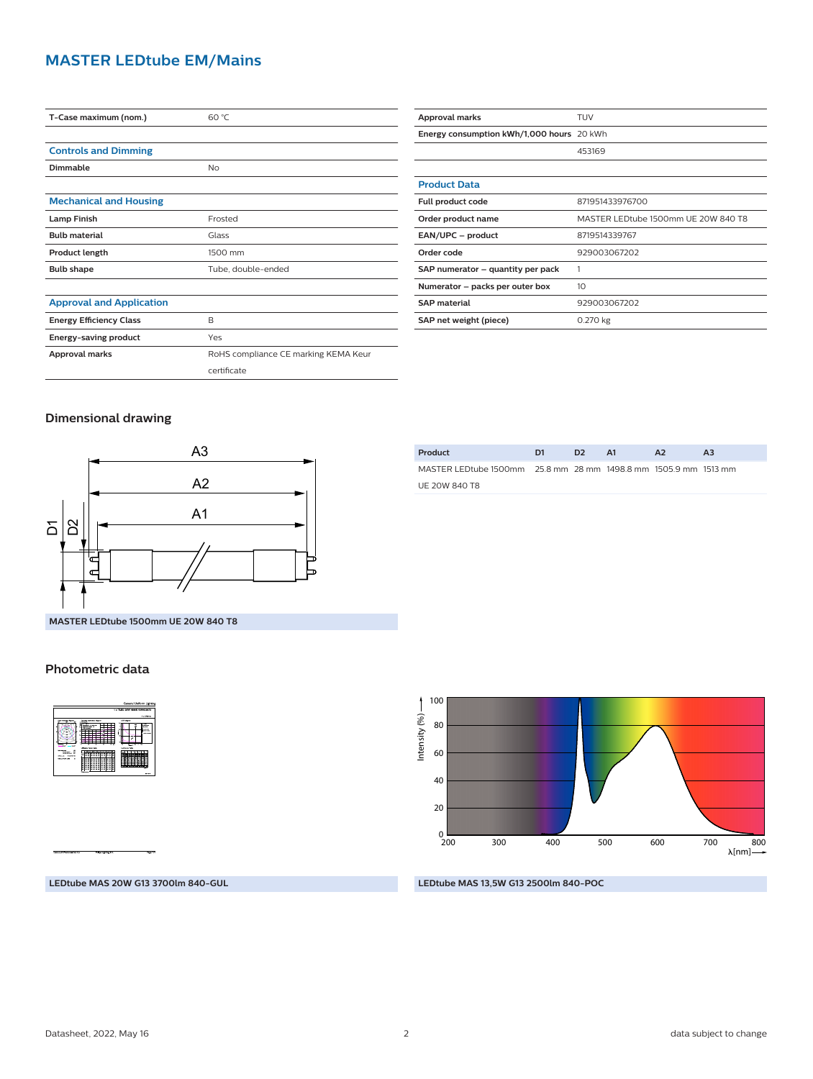#### **MASTER LEDtube EM/Mains**

| T-Case maximum (nom.)           | 60 °C                                |  |  |  |  |
|---------------------------------|--------------------------------------|--|--|--|--|
|                                 |                                      |  |  |  |  |
| <b>Controls and Dimming</b>     |                                      |  |  |  |  |
| Dimmable                        | <b>No</b>                            |  |  |  |  |
|                                 |                                      |  |  |  |  |
| <b>Mechanical and Housing</b>   |                                      |  |  |  |  |
| <b>Lamp Finish</b>              | Frosted                              |  |  |  |  |
| <b>Bulb material</b>            | Glass                                |  |  |  |  |
| <b>Product length</b>           | 1500 mm                              |  |  |  |  |
| <b>Bulb shape</b>               | Tube, double-ended                   |  |  |  |  |
|                                 |                                      |  |  |  |  |
| <b>Approval and Application</b> |                                      |  |  |  |  |
| <b>Energy Efficiency Class</b>  | B                                    |  |  |  |  |
| Energy-saving product           | Yes                                  |  |  |  |  |
| Approval marks                  | RoHS compliance CE marking KEMA Keur |  |  |  |  |
|                                 | certificate                          |  |  |  |  |

| <b>Approval marks</b>                     | TUV                                 |  |  |  |
|-------------------------------------------|-------------------------------------|--|--|--|
| Energy consumption kWh/1,000 hours 20 kWh |                                     |  |  |  |
|                                           | 453169                              |  |  |  |
|                                           |                                     |  |  |  |
| <b>Product Data</b>                       |                                     |  |  |  |
| Full product code                         | 871951433976700                     |  |  |  |
| Order product name                        | MASTER LEDtube 1500mm UE 20W 840 T8 |  |  |  |
| EAN/UPC - product                         | 8719514339767                       |  |  |  |
| Order code                                | 929003067202                        |  |  |  |
| SAP numerator – quantity per pack         |                                     |  |  |  |
| Numerator – packs per outer box           | 10                                  |  |  |  |
| <b>SAP material</b>                       | 929003067202                        |  |  |  |
| SAP net weight (piece)                    | 0.270 kg                            |  |  |  |

#### **Dimensional drawing**



| Product                                                         | D1 | D <sub>2</sub> | A1 | A <sub>2</sub> |  |
|-----------------------------------------------------------------|----|----------------|----|----------------|--|
| MASTER LEDtube 1500mm 25.8 mm 28 mm 1498.8 mm 1505.9 mm 1513 mm |    |                |    |                |  |
| UE 20W 840 T8                                                   |    |                |    |                |  |
|                                                                 |    |                |    |                |  |

#### 100 Intensity (%) -Intensity (%) 80 60 40 20  $_{\frac{0}{200}}$ 200 300 400 500 600 700 800 [nm]

#### **LEDtube MAS 20W G13 3700lm 840-GUL**

**LEDtube MAS 13,5W G13 2500lm 840-POC**

### **MASTER LEDtube 1500mm UE 20W 840 T8**

#### **Photometric data**